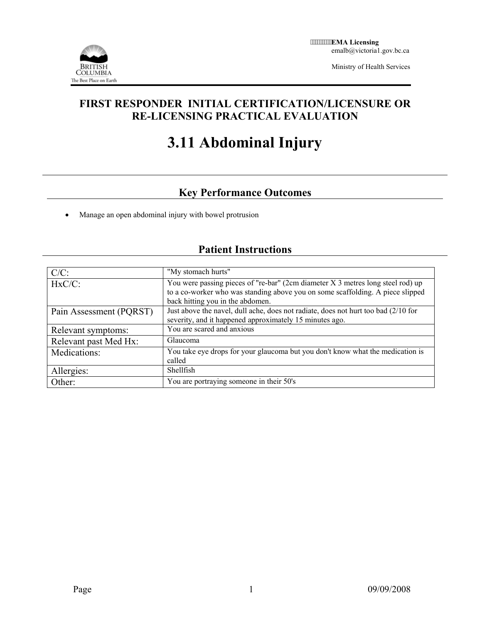

Ministry of Health Services

### **FIRST RESPONDER INITIAL CERTIFICATION/LICENSURE OR RE-LICENSING PRACTICAL EVALUATION**

# **3.11 Abdominal Injury**

## **Key Performance Outcomes**

• Manage an open abdominal injury with bowel protrusion

# **Patient Instructions**

| $C/C$ :                 | "My stomach hurts"                                                                                                                                                                                    |
|-------------------------|-------------------------------------------------------------------------------------------------------------------------------------------------------------------------------------------------------|
| $HxC/C$ :               | You were passing pieces of "re-bar" (2cm diameter X 3 metres long steel rod) up<br>to a co-worker who was standing above you on some scaffolding. A piece slipped<br>back hitting you in the abdomen. |
| Pain Assessment (PQRST) | Just above the navel, dull ache, does not radiate, does not hurt too bad (2/10 for<br>severity, and it happened approximately 15 minutes ago.                                                         |
| Relevant symptoms:      | You are scared and anxious                                                                                                                                                                            |
| Relevant past Med Hx:   | <b>Glaucoma</b>                                                                                                                                                                                       |
| Medications:            | You take eye drops for your glaucoma but you don't know what the medication is<br>called                                                                                                              |
| Allergies:              | Shellfish                                                                                                                                                                                             |
| Other:                  | You are portraying someone in their 50's                                                                                                                                                              |